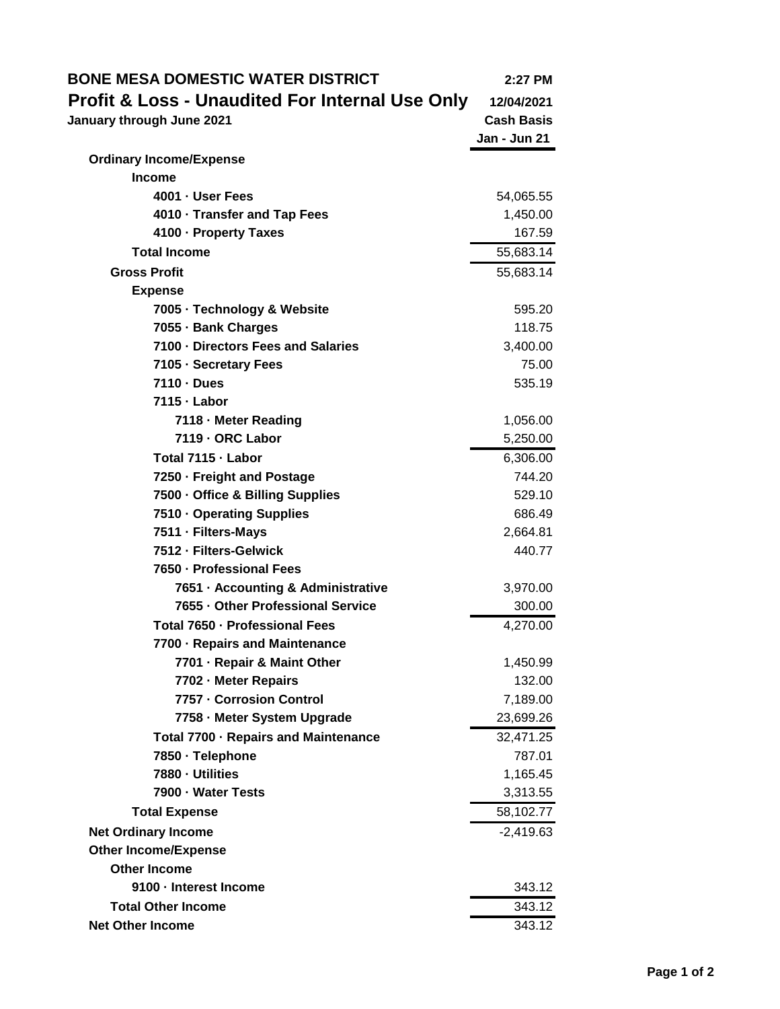| <b>BONE MESA DOMESTIC WATER DISTRICT</b>        | 2:27 PM           |
|-------------------------------------------------|-------------------|
| Profit & Loss - Unaudited For Internal Use Only | 12/04/2021        |
| January through June 2021                       | <b>Cash Basis</b> |
|                                                 | Jan - Jun 21      |
| <b>Ordinary Income/Expense</b>                  |                   |
| <b>Income</b>                                   |                   |
| 4001 · User Fees                                | 54,065.55         |
| 4010 · Transfer and Tap Fees                    | 1,450.00          |
| 4100 - Property Taxes                           | 167.59            |
| <b>Total Income</b>                             | 55,683.14         |
| <b>Gross Profit</b>                             | 55,683.14         |
| <b>Expense</b>                                  |                   |
| 7005 · Technology & Website                     | 595.20            |
| 7055 - Bank Charges                             | 118.75            |
| 7100 - Directors Fees and Salaries              | 3,400.00          |
| 7105 · Secretary Fees                           | 75.00             |
| 7110 · Dues                                     | 535.19            |
| 7115 - Labor                                    |                   |
| 7118 - Meter Reading                            | 1,056.00          |
| 7119 - ORC Labor                                | 5,250.00          |
| Total 7115 - Labor                              | 6,306.00          |
| 7250 · Freight and Postage                      | 744.20            |
| 7500 - Office & Billing Supplies                | 529.10            |
| 7510 · Operating Supplies                       | 686.49            |
| 7511 · Filters-Mays                             | 2,664.81          |
| 7512 - Filters-Gelwick                          | 440.77            |
| 7650 - Professional Fees                        |                   |
| 7651 - Accounting & Administrative              | 3,970.00          |
| 7655 - Other Professional Service               | 300.00            |
| Total 7650 - Professional Fees                  | 4,270.00          |
| 7700 - Repairs and Maintenance                  |                   |
| 7701 - Repair & Maint Other                     | 1,450.99          |
| 7702 - Meter Repairs                            | 132.00            |
| 7757 - Corrosion Control                        | 7,189.00          |
| 7758 - Meter System Upgrade                     | 23,699.26         |
| Total 7700 · Repairs and Maintenance            | 32,471.25         |
| 7850 · Telephone                                | 787.01            |
| 7880 - Utilities                                | 1,165.45          |
| 7900 - Water Tests                              | 3,313.55          |
| <b>Total Expense</b>                            | 58,102.77         |
| <b>Net Ordinary Income</b>                      | $-2,419.63$       |
| <b>Other Income/Expense</b>                     |                   |
| <b>Other Income</b>                             |                   |
| 9100 - Interest Income                          | 343.12            |
| <b>Total Other Income</b>                       | 343.12            |
| <b>Net Other Income</b>                         | 343.12            |